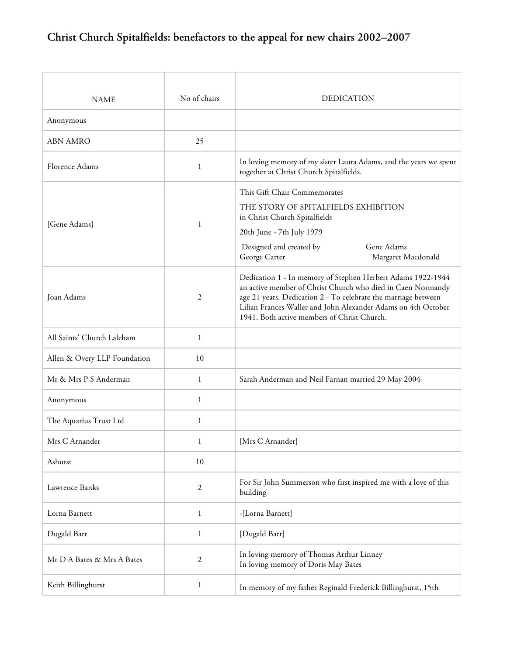| <b>NAME</b>                  | No of chairs     | <b>DEDICATION</b>                                                                                                                                                                                                                                                                                            |
|------------------------------|------------------|--------------------------------------------------------------------------------------------------------------------------------------------------------------------------------------------------------------------------------------------------------------------------------------------------------------|
| Anonymous                    |                  |                                                                                                                                                                                                                                                                                                              |
| <b>ABN AMRO</b>              | 25               |                                                                                                                                                                                                                                                                                                              |
| Florence Adams               | 1                | In loving memory of my sister Laura Adams, and the years we spent<br>together at Christ Church Spitalfields.                                                                                                                                                                                                 |
| [Gene Adams]                 | 1                | This Gift Chair Commemorates<br>THE STORY OF SPITALFIELDS EXHIBITION<br>in Christ Church Spitalfields<br>20th June - 7th July 1979<br>Designed and created by<br>Gene Adams<br>George Carter<br>Margaret Macdonald                                                                                           |
| Joan Adams                   | 2                | Dedication 1 - In memory of Stephen Herbert Adams 1922-1944<br>an active member of Christ Church who died in Caen Normandy<br>age 21 years. Dedication 2 - To celebrate the marriage between<br>Lilian Frances Waller and John Alexander Adams on 4th October<br>1941. Both active members of Christ Church. |
| All Saints' Church Laleham   | $\mathbf{1}$     |                                                                                                                                                                                                                                                                                                              |
| Allen & Overy LLP Foundation | 10               |                                                                                                                                                                                                                                                                                                              |
| Mr & Mrs P S Anderman        | $\mathbf{1}$     | Sarah Anderman and Neil Farnan married 29 May 2004                                                                                                                                                                                                                                                           |
| Anonymous                    | $\mathbf{1}$     |                                                                                                                                                                                                                                                                                                              |
| The Aquarius Trust Ltd       | 1                |                                                                                                                                                                                                                                                                                                              |
| Mrs C Arnander               | $\mathbf{1}$     | [Mrs C Arnander]                                                                                                                                                                                                                                                                                             |
| Ashurst                      | 10               |                                                                                                                                                                                                                                                                                                              |
| Lawrence Banks               | $\boldsymbol{2}$ | For Sir John Summerson who first inspired me with a love of this<br>building                                                                                                                                                                                                                                 |
| Lorna Barnett                | $\mathbf{1}$     | -[Lorna Barnett]                                                                                                                                                                                                                                                                                             |
| Dugald Barr                  | 1                | [Dugald Barr]                                                                                                                                                                                                                                                                                                |
| Mr D A Bates & Mrs A Bates   | 2                | In loving memory of Thomas Arthur Linney<br>In loving memory of Doris May Bates                                                                                                                                                                                                                              |
| Keith Billinghurst           | 1                | In memory of my father Reginald Frederick Billinghurst, 15th                                                                                                                                                                                                                                                 |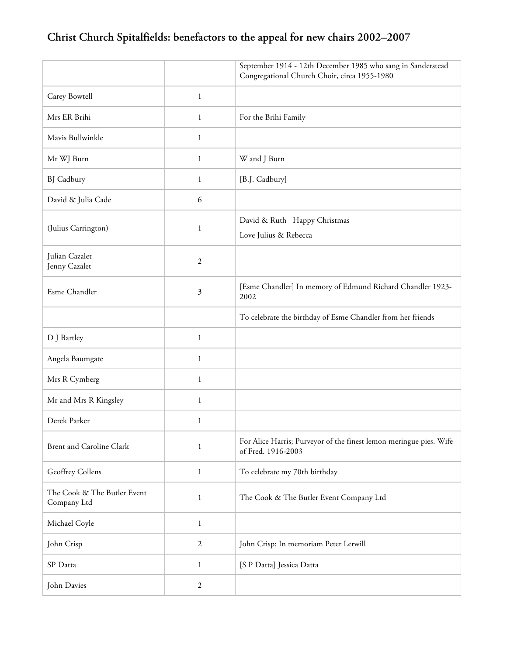|                                            |                | September 1914 - 12th December 1985 who sang in Sanderstead<br>Congregational Church Choir, circa 1955-1980 |
|--------------------------------------------|----------------|-------------------------------------------------------------------------------------------------------------|
| Carey Bowtell                              | 1              |                                                                                                             |
| Mrs ER Brihi                               | $\mathbf{1}$   | For the Brihi Family                                                                                        |
| Mavis Bullwinkle                           | $\mathbf{1}$   |                                                                                                             |
| Mr WJ Burn                                 | 1              | W and J Burn                                                                                                |
| <b>BJ</b> Cadbury                          | 1              | [B.J. Cadbury]                                                                                              |
| David & Julia Cade                         | 6              |                                                                                                             |
| (Julius Carrington)                        | 1              | David & Ruth Happy Christmas<br>Love Julius & Rebecca                                                       |
| Julian Cazalet<br>Jenny Cazalet            | $\mathfrak{2}$ |                                                                                                             |
| Esme Chandler                              | 3              | [Esme Chandler] In memory of Edmund Richard Chandler 1923-<br>2002                                          |
|                                            |                | To celebrate the birthday of Esme Chandler from her friends                                                 |
| D J Bartley                                | $\mathbf{1}$   |                                                                                                             |
| Angela Baumgate                            | $\mathbf{1}$   |                                                                                                             |
| Mrs R Cymberg                              | 1              |                                                                                                             |
| Mr and Mrs R Kingsley                      | $\mathbf{1}$   |                                                                                                             |
| Derek Parker                               | 1              |                                                                                                             |
| <b>Brent and Caroline Clark</b>            | 1              | For Alice Harris; Purveyor of the finest lemon meringue pies. Wife<br>of Fred. 1916-2003                    |
| Geoffrey Collens                           | $\mathbf{1}$   | To celebrate my 70th birthday                                                                               |
| The Cook & The Butler Event<br>Company Ltd | 1              | The Cook & The Butler Event Company Ltd                                                                     |
| Michael Coyle                              | 1              |                                                                                                             |
| John Crisp                                 | $\mathfrak{2}$ | John Crisp: In memoriam Peter Lerwill                                                                       |
| SP Datta                                   | 1              | [S P Datta] Jessica Datta                                                                                   |
| John Davies                                | $\mathfrak{2}$ |                                                                                                             |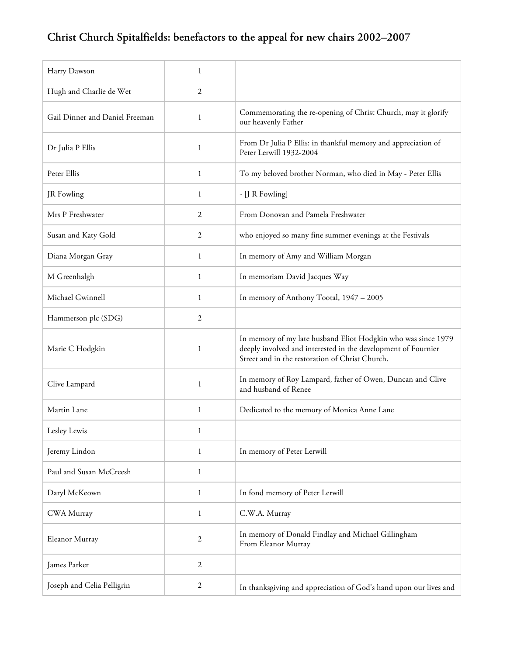| Harry Dawson                   | 1              |                                                                                                                                                                                   |
|--------------------------------|----------------|-----------------------------------------------------------------------------------------------------------------------------------------------------------------------------------|
| Hugh and Charlie de Wet        | 2              |                                                                                                                                                                                   |
| Gail Dinner and Daniel Freeman | 1              | Commemorating the re-opening of Christ Church, may it glorify<br>our heavenly Father                                                                                              |
| Dr Julia P Ellis               | 1              | From Dr Julia P Ellis: in thankful memory and appreciation of<br>Peter Lerwill 1932-2004                                                                                          |
| Peter Ellis                    | 1              | To my beloved brother Norman, who died in May - Peter Ellis                                                                                                                       |
| JR Fowling                     | 1              | - [J R Fowling]                                                                                                                                                                   |
| Mrs P Freshwater               | 2              | From Donovan and Pamela Freshwater                                                                                                                                                |
| Susan and Katy Gold            | 2              | who enjoyed so many fine summer evenings at the Festivals                                                                                                                         |
| Diana Morgan Gray              | 1              | In memory of Amy and William Morgan                                                                                                                                               |
| M Greenhalgh                   | 1              | In memoriam David Jacques Way                                                                                                                                                     |
| Michael Gwinnell               | 1              | In memory of Anthony Tootal, 1947 - 2005                                                                                                                                          |
| Hammerson plc (SDG)            | 2              |                                                                                                                                                                                   |
| Marie C Hodgkin                | 1              | In memory of my late husband Eliot Hodgkin who was since 1979<br>deeply involved and interested in the development of Fournier<br>Street and in the restoration of Christ Church. |
| Clive Lampard                  | 1              | In memory of Roy Lampard, father of Owen, Duncan and Clive<br>and husband of Renee                                                                                                |
| Martin Lane                    | 1              | Dedicated to the memory of Monica Anne Lane                                                                                                                                       |
| Lesley Lewis                   |                |                                                                                                                                                                                   |
| Jeremy Lindon                  | 1              | In memory of Peter Lerwill                                                                                                                                                        |
| Paul and Susan McCreesh        | $\mathbf{1}$   |                                                                                                                                                                                   |
| Daryl McKeown                  | 1              | In fond memory of Peter Lerwill                                                                                                                                                   |
| CWA Murray                     | 1              | C.W.A. Murray                                                                                                                                                                     |
| Eleanor Murray                 | $\overline{2}$ | In memory of Donald Findlay and Michael Gillingham<br>From Eleanor Murray                                                                                                         |
| James Parker                   | $\mathbf{2}$   |                                                                                                                                                                                   |
| Joseph and Celia Pelligrin     | 2              | In thanksgiving and appreciation of God's hand upon our lives and                                                                                                                 |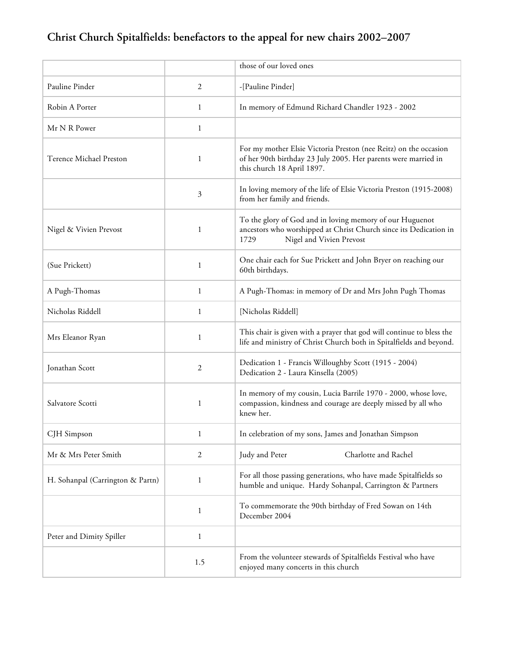|                                  |                | those of our loved ones                                                                                                                                           |
|----------------------------------|----------------|-------------------------------------------------------------------------------------------------------------------------------------------------------------------|
| Pauline Pinder                   | 2              | -[Pauline Pinder]                                                                                                                                                 |
| Robin A Porter                   | $\mathbf{1}$   | In memory of Edmund Richard Chandler 1923 - 2002                                                                                                                  |
| Mr N R Power                     | 1              |                                                                                                                                                                   |
| Terence Michael Preston          | 1              | For my mother Elsie Victoria Preston (nee Reitz) on the occasion<br>of her 90th birthday 23 July 2005. Her parents were married in<br>this church 18 April 1897.  |
|                                  | 3              | In loving memory of the life of Elsie Victoria Preston (1915-2008)<br>from her family and friends.                                                                |
| Nigel & Vivien Prevost           | 1              | To the glory of God and in loving memory of our Huguenot<br>ancestors who worshipped at Christ Church since its Dedication in<br>Nigel and Vivien Prevost<br>1729 |
| (Sue Prickett)                   | 1              | One chair each for Sue Prickett and John Bryer on reaching our<br>60th birthdays.                                                                                 |
| A Pugh-Thomas                    | $\mathbf{1}$   | A Pugh-Thomas: in memory of Dr and Mrs John Pugh Thomas                                                                                                           |
| Nicholas Riddell                 | 1              | [Nicholas Riddell]                                                                                                                                                |
| Mrs Eleanor Ryan                 | 1              | This chair is given with a prayer that god will continue to bless the<br>life and ministry of Christ Church both in Spitalfields and beyond.                      |
| Jonathan Scott                   | 2              | Dedication 1 - Francis Willoughby Scott (1915 - 2004)<br>Dedication 2 - Laura Kinsella (2005)                                                                     |
| Salvatore Scotti                 | 1              | In memory of my cousin, Lucia Barrile 1970 - 2000, whose love,<br>compassion, kindness and courage are deeply missed by all who<br>knew her.                      |
| CJH Simpson                      | 1              | In celebration of my sons, James and Jonathan Simpson                                                                                                             |
| Mr & Mrs Peter Smith             | $\overline{2}$ | Charlotte and Rachel<br>Judy and Peter                                                                                                                            |
| H. Sohanpal (Carrington & Partn) | 1              | For all those passing generations, who have made Spitalfields so<br>humble and unique. Hardy Sohanpal, Carrington & Partners                                      |
|                                  | 1              | To commemorate the 90th birthday of Fred Sowan on 14th<br>December 2004                                                                                           |
| Peter and Dimity Spiller         | 1              |                                                                                                                                                                   |
|                                  | 1.5            | From the volunteer stewards of Spitalfields Festival who have<br>enjoyed many concerts in this church                                                             |